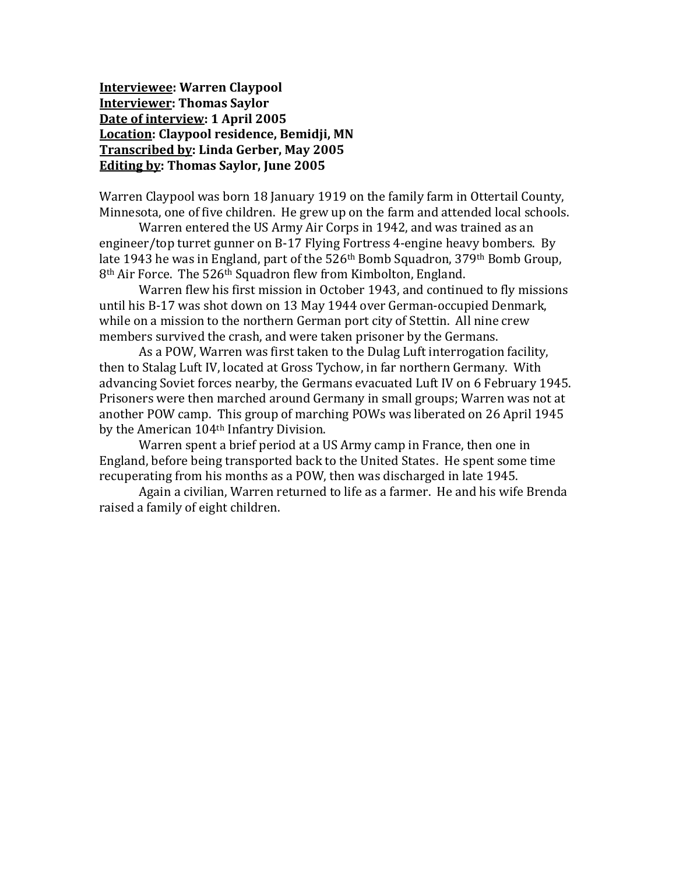**Interviewee: Warren Claypool Interviewer: Thomas Saylor Date of interview: 1 April 2005 Location: Claypool residence, Bemidji, MN Transcribed by: Linda Gerber, May 2005 Editing by: Thomas Saylor, June 2005**

Warren Claypool was born 18 January 1919 on the family farm in Ottertail County, Minnesota, one of five children. He grew up on the farm and attended local schools.

Warren entered the US Army Air Corps in 1942, and was trained as an engineer/top turret gunner on B-17 Flying Fortress 4-engine heavy bombers. By late 1943 he was in England, part of the 526<sup>th</sup> Bomb Squadron, 379<sup>th</sup> Bomb Group, 8<sup>th</sup> Air Force. The 526<sup>th</sup> Squadron flew from Kimbolton, England.

Warren flew his first mission in October 1943, and continued to fly missions until his B-17 was shot down on 13 May 1944 over German-occupied Denmark, while on a mission to the northern German port city of Stettin. All nine crew members survived the crash, and were taken prisoner by the Germans.

As a POW, Warren was first taken to the Dulag Luft interrogation facility, then to Stalag Luft IV, located at Gross Tychow, in far northern Germany. With advancing Soviet forces nearby, the Germans evacuated Luft IV on 6 February 1945. Prisoners were then marched around Germany in small groups; Warren was not at another POW camp. This group of marching POWs was liberated on 26 April 1945 by the American 104th Infantry Division.

Warren spent a brief period at a US Army camp in France, then one in England, before being transported back to the United States. He spent some time recuperating from his months as a POW, then was discharged in late 1945.

Again a civilian, Warren returned to life as a farmer. He and his wife Brenda raised a family of eight children.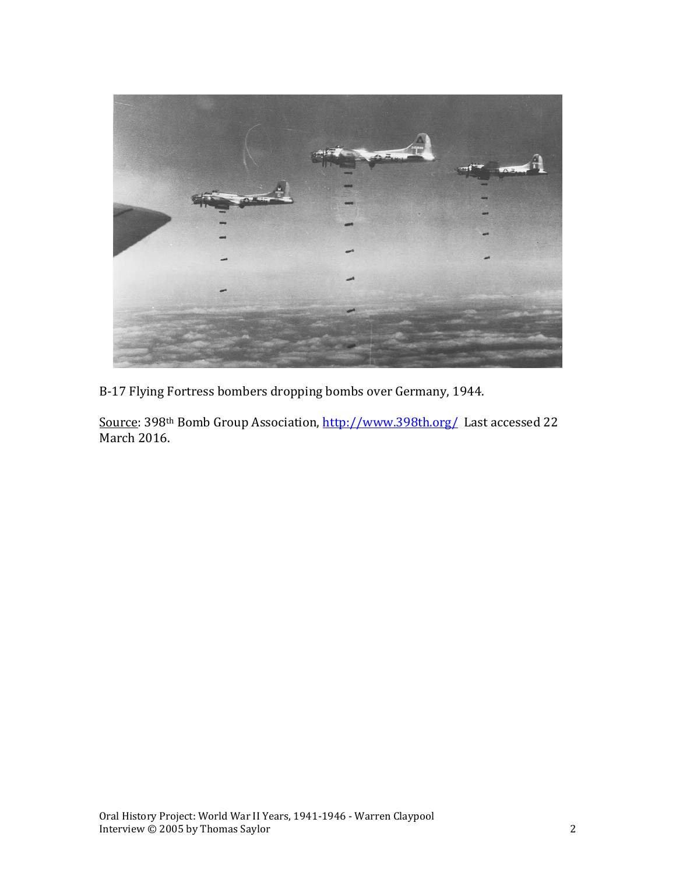

B-17 Flying Fortress bombers dropping bombs over Germany, 1944.

Source: 398th Bomb Group Association,<http://www.398th.org/>Last accessed 22 March 2016.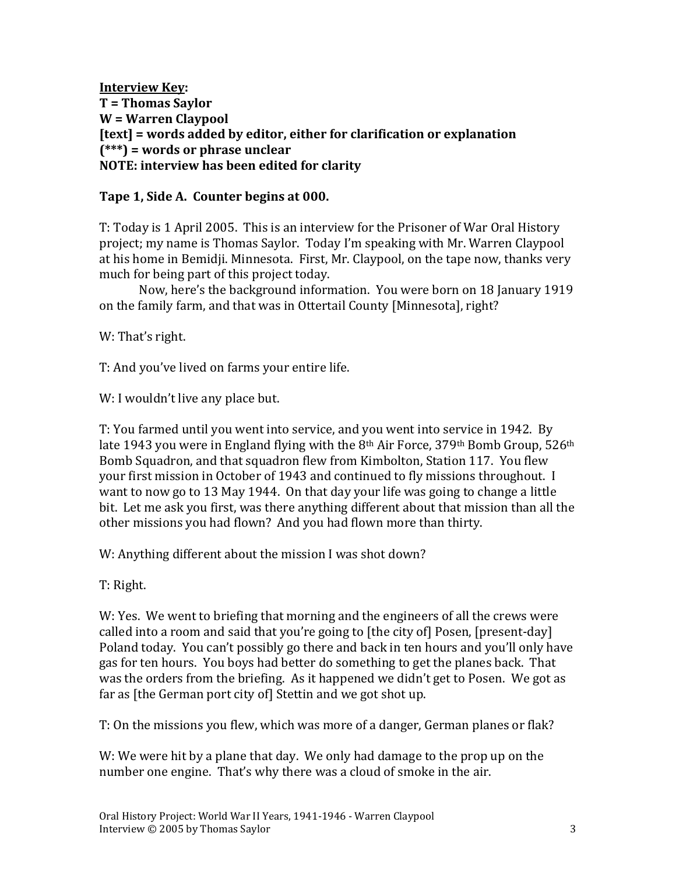**Interview Key: T = Thomas Saylor W = Warren Claypool [text] = words added by editor, either for clarification or explanation (\*\*\*) = words or phrase unclear NOTE: interview has been edited for clarity**

#### **Tape 1, Side A. Counter begins at 000.**

T: Today is 1 April 2005. This is an interview for the Prisoner of War Oral History project; my name is Thomas Saylor. Today I'm speaking with Mr. Warren Claypool at his home in Bemidji. Minnesota. First, Mr. Claypool, on the tape now, thanks very much for being part of this project today.

Now, here's the background information. You were born on 18 January 1919 on the family farm, and that was in Ottertail County [Minnesota], right?

W: That's right.

T: And you've lived on farms your entire life.

W: I wouldn't live any place but.

T: You farmed until you went into service, and you went into service in 1942. By late 1943 you were in England flying with the  $8<sup>th</sup>$  Air Force, 379<sup>th</sup> Bomb Group, 526<sup>th</sup> Bomb Squadron, and that squadron flew from Kimbolton, Station 117. You flew your first mission in October of 1943 and continued to fly missions throughout. I want to now go to 13 May 1944. On that day your life was going to change a little bit. Let me ask you first, was there anything different about that mission than all the other missions you had flown? And you had flown more than thirty.

W: Anything different about the mission I was shot down?

T: Right.

W: Yes. We went to briefing that morning and the engineers of all the crews were called into a room and said that you're going to [the city of] Posen, [present-day] Poland today. You can't possibly go there and back in ten hours and you'll only have gas for ten hours. You boys had better do something to get the planes back. That was the orders from the briefing. As it happened we didn't get to Posen. We got as far as [the German port city of] Stettin and we got shot up.

T: On the missions you flew, which was more of a danger, German planes or flak?

W: We were hit by a plane that day. We only had damage to the prop up on the number one engine. That's why there was a cloud of smoke in the air.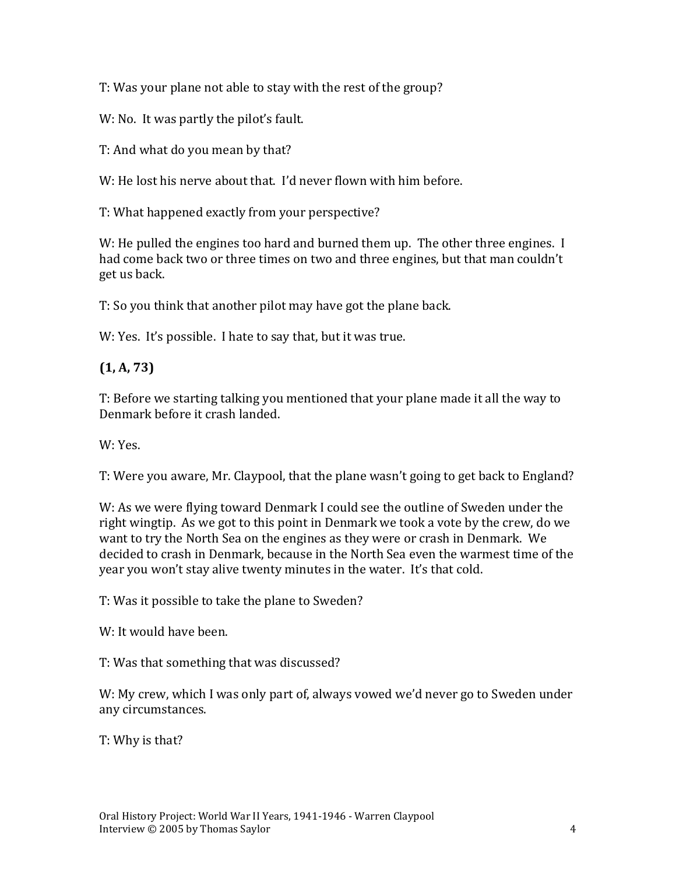T: Was your plane not able to stay with the rest of the group?

W: No. It was partly the pilot's fault.

T: And what do you mean by that?

W: He lost his nerve about that. I'd never flown with him before.

T: What happened exactly from your perspective?

W: He pulled the engines too hard and burned them up. The other three engines. I had come back two or three times on two and three engines, but that man couldn't get us back.

T: So you think that another pilot may have got the plane back.

W: Yes. It's possible. I hate to say that, but it was true.

**(1, A, 73)**

T: Before we starting talking you mentioned that your plane made it all the way to Denmark before it crash landed.

W: Yes.

T: Were you aware, Mr. Claypool, that the plane wasn't going to get back to England?

W: As we were flying toward Denmark I could see the outline of Sweden under the right wingtip. As we got to this point in Denmark we took a vote by the crew, do we want to try the North Sea on the engines as they were or crash in Denmark. We decided to crash in Denmark, because in the North Sea even the warmest time of the year you won't stay alive twenty minutes in the water. It's that cold.

T: Was it possible to take the plane to Sweden?

W: It would have been.

T: Was that something that was discussed?

W: My crew, which I was only part of, always vowed we'd never go to Sweden under any circumstances.

T: Why is that?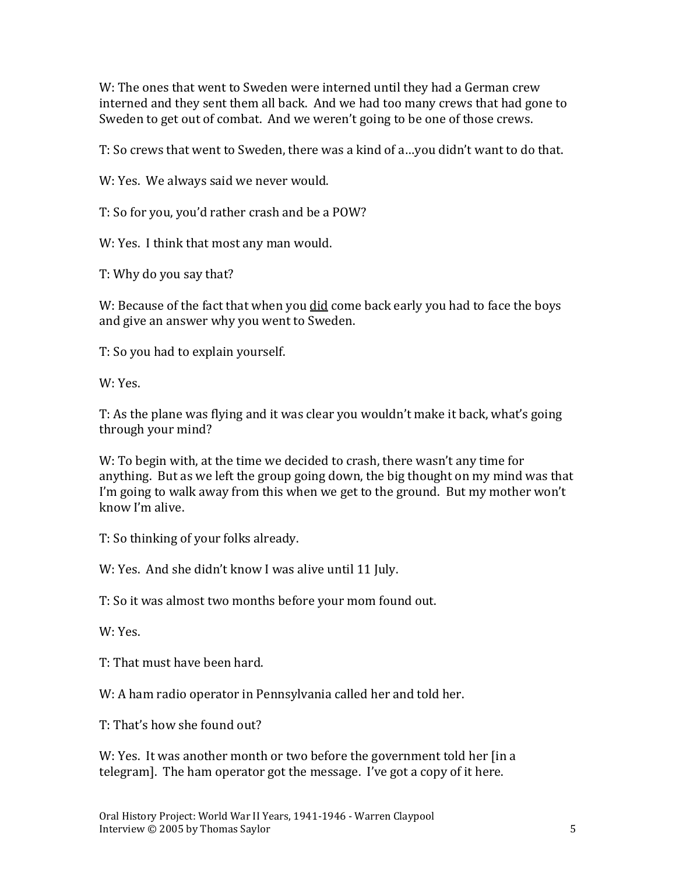W: The ones that went to Sweden were interned until they had a German crew interned and they sent them all back. And we had too many crews that had gone to Sweden to get out of combat. And we weren't going to be one of those crews.

T: So crews that went to Sweden, there was a kind of a…you didn't want to do that.

W: Yes. We always said we never would.

T: So for you, you'd rather crash and be a POW?

W: Yes. I think that most any man would.

T: Why do you say that?

W: Because of the fact that when you did come back early you had to face the boys and give an answer why you went to Sweden.

T: So you had to explain yourself.

W: Yes.

T: As the plane was flying and it was clear you wouldn't make it back, what's going through your mind?

W: To begin with, at the time we decided to crash, there wasn't any time for anything. But as we left the group going down, the big thought on my mind was that I'm going to walk away from this when we get to the ground. But my mother won't know I'm alive.

T: So thinking of your folks already.

W: Yes. And she didn't know I was alive until 11 July.

T: So it was almost two months before your mom found out.

W: Yes.

T: That must have been hard.

W: A ham radio operator in Pennsylvania called her and told her.

T: That's how she found out?

W: Yes. It was another month or two before the government told her [in a telegram]. The ham operator got the message. I've got a copy of it here.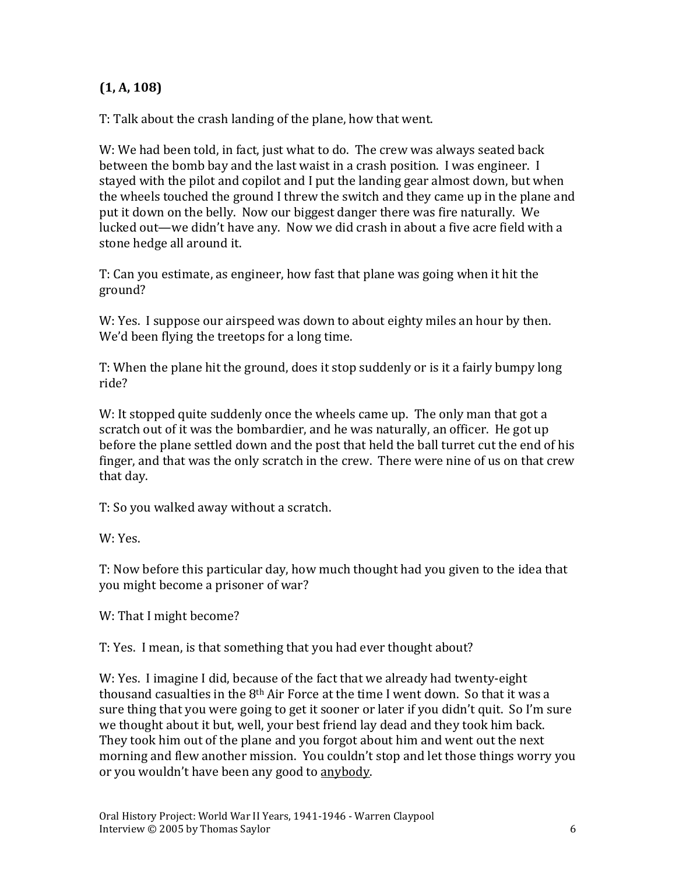## **(1, A, 108)**

T: Talk about the crash landing of the plane, how that went.

W: We had been told, in fact, just what to do. The crew was always seated back between the bomb bay and the last waist in a crash position. I was engineer. I stayed with the pilot and copilot and I put the landing gear almost down, but when the wheels touched the ground I threw the switch and they came up in the plane and put it down on the belly. Now our biggest danger there was fire naturally. We lucked out—we didn't have any. Now we did crash in about a five acre field with a stone hedge all around it.

T: Can you estimate, as engineer, how fast that plane was going when it hit the ground?

W: Yes. I suppose our airspeed was down to about eighty miles an hour by then. We'd been flying the treetops for a long time.

T: When the plane hit the ground, does it stop suddenly or is it a fairly bumpy long ride?

W: It stopped quite suddenly once the wheels came up. The only man that got a scratch out of it was the bombardier, and he was naturally, an officer. He got up before the plane settled down and the post that held the ball turret cut the end of his finger, and that was the only scratch in the crew. There were nine of us on that crew that day.

T: So you walked away without a scratch.

W: Yes.

T: Now before this particular day, how much thought had you given to the idea that you might become a prisoner of war?

W: That I might become?

T: Yes. I mean, is that something that you had ever thought about?

W: Yes. I imagine I did, because of the fact that we already had twenty-eight thousand casualties in the  $8<sup>th</sup>$  Air Force at the time I went down. So that it was a sure thing that you were going to get it sooner or later if you didn't quit. So I'm sure we thought about it but, well, your best friend lay dead and they took him back. They took him out of the plane and you forgot about him and went out the next morning and flew another mission. You couldn't stop and let those things worry you or you wouldn't have been any good to anybody.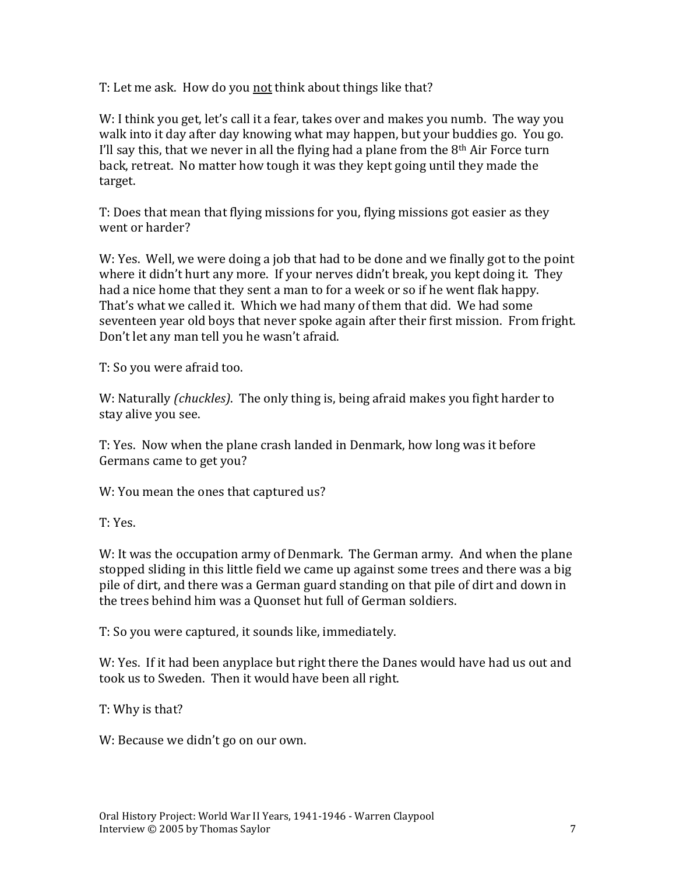T: Let me ask. How do you not think about things like that?

W: I think you get, let's call it a fear, takes over and makes you numb. The way you walk into it day after day knowing what may happen, but your buddies go. You go. I'll say this, that we never in all the flying had a plane from the  $8<sup>th</sup>$  Air Force turn back, retreat. No matter how tough it was they kept going until they made the target.

T: Does that mean that flying missions for you, flying missions got easier as they went or harder?

W: Yes. Well, we were doing a job that had to be done and we finally got to the point where it didn't hurt any more. If your nerves didn't break, you kept doing it. They had a nice home that they sent a man to for a week or so if he went flak happy. That's what we called it. Which we had many of them that did. We had some seventeen year old boys that never spoke again after their first mission. From fright. Don't let any man tell you he wasn't afraid.

T: So you were afraid too.

W: Naturally *(chuckles)*. The only thing is, being afraid makes you fight harder to stay alive you see.

T: Yes. Now when the plane crash landed in Denmark, how long was it before Germans came to get you?

W: You mean the ones that captured us?

T: Yes.

W: It was the occupation army of Denmark. The German army. And when the plane stopped sliding in this little field we came up against some trees and there was a big pile of dirt, and there was a German guard standing on that pile of dirt and down in the trees behind him was a Quonset hut full of German soldiers.

T: So you were captured, it sounds like, immediately.

W: Yes. If it had been anyplace but right there the Danes would have had us out and took us to Sweden. Then it would have been all right.

T: Why is that?

W: Because we didn't go on our own.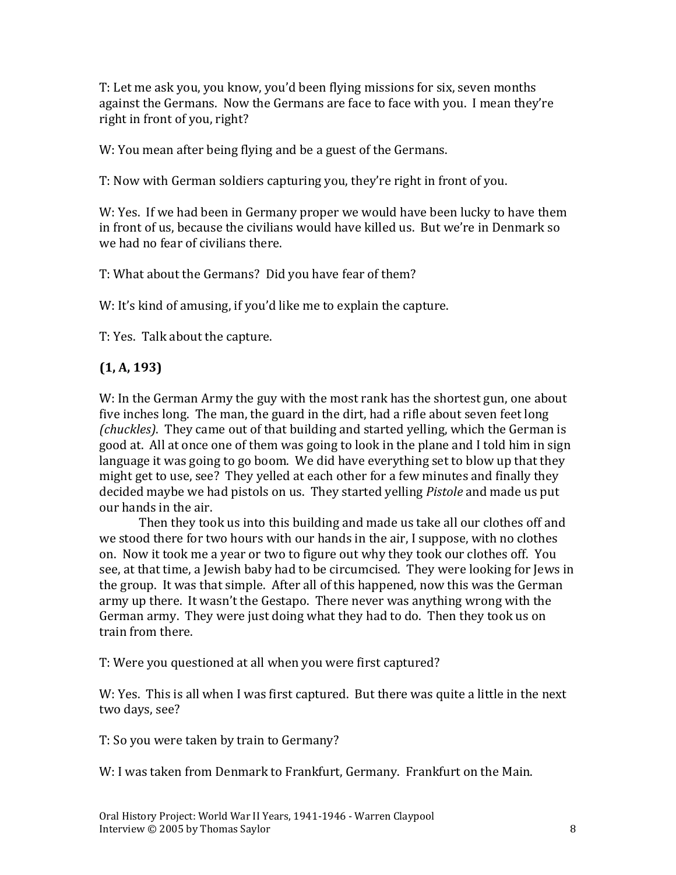T: Let me ask you, you know, you'd been flying missions for six, seven months against the Germans. Now the Germans are face to face with you. I mean they're right in front of you, right?

W: You mean after being flying and be a guest of the Germans.

T: Now with German soldiers capturing you, they're right in front of you.

W: Yes. If we had been in Germany proper we would have been lucky to have them in front of us, because the civilians would have killed us. But we're in Denmark so we had no fear of civilians there.

T: What about the Germans? Did you have fear of them?

W: It's kind of amusing, if you'd like me to explain the capture.

T: Yes. Talk about the capture.

#### **(1, A, 193)**

W: In the German Army the guy with the most rank has the shortest gun, one about five inches long. The man, the guard in the dirt, had a rifle about seven feet long *(chuckles)*. They came out of that building and started yelling, which the German is good at. All at once one of them was going to look in the plane and I told him in sign language it was going to go boom. We did have everything set to blow up that they might get to use, see? They yelled at each other for a few minutes and finally they decided maybe we had pistols on us. They started yelling *Pistole* and made us put our hands in the air.

Then they took us into this building and made us take all our clothes off and we stood there for two hours with our hands in the air, I suppose, with no clothes on. Now it took me a year or two to figure out why they took our clothes off. You see, at that time, a Jewish baby had to be circumcised. They were looking for Jews in the group. It was that simple. After all of this happened, now this was the German army up there. It wasn't the Gestapo. There never was anything wrong with the German army. They were just doing what they had to do. Then they took us on train from there.

T: Were you questioned at all when you were first captured?

W: Yes. This is all when I was first captured. But there was quite a little in the next two days, see?

T: So you were taken by train to Germany?

W: I was taken from Denmark to Frankfurt, Germany. Frankfurt on the Main.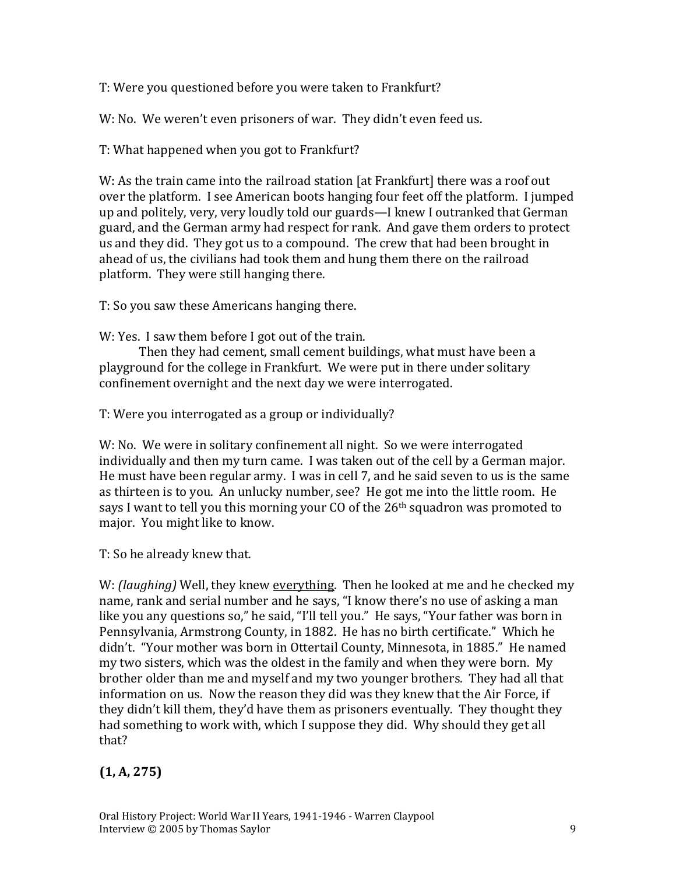T: Were you questioned before you were taken to Frankfurt?

W: No. We weren't even prisoners of war. They didn't even feed us.

T: What happened when you got to Frankfurt?

W: As the train came into the railroad station [at Frankfurt] there was a roof out over the platform. I see American boots hanging four feet off the platform. I jumped up and politely, very, very loudly told our guards—I knew I outranked that German guard, and the German army had respect for rank. And gave them orders to protect us and they did. They got us to a compound. The crew that had been brought in ahead of us, the civilians had took them and hung them there on the railroad platform. They were still hanging there.

T: So you saw these Americans hanging there.

W: Yes. I saw them before I got out of the train.

Then they had cement, small cement buildings, what must have been a playground for the college in Frankfurt. We were put in there under solitary confinement overnight and the next day we were interrogated.

T: Were you interrogated as a group or individually?

W: No. We were in solitary confinement all night. So we were interrogated individually and then my turn came. I was taken out of the cell by a German major. He must have been regular army. I was in cell 7, and he said seven to us is the same as thirteen is to you. An unlucky number, see? He got me into the little room. He says I want to tell you this morning your CO of the 26th squadron was promoted to major. You might like to know.

T: So he already knew that.

W: *(laughing)* Well, they knew everything. Then he looked at me and he checked my name, rank and serial number and he says, "I know there's no use of asking a man like you any questions so," he said, "I'll tell you." He says, "Your father was born in Pennsylvania, Armstrong County, in 1882. He has no birth certificate." Which he didn't. "Your mother was born in Ottertail County, Minnesota, in 1885." He named my two sisters, which was the oldest in the family and when they were born. My brother older than me and myself and my two younger brothers. They had all that information on us. Now the reason they did was they knew that the Air Force, if they didn't kill them, they'd have them as prisoners eventually. They thought they had something to work with, which I suppose they did. Why should they get all that?

### **(1, A, 275)**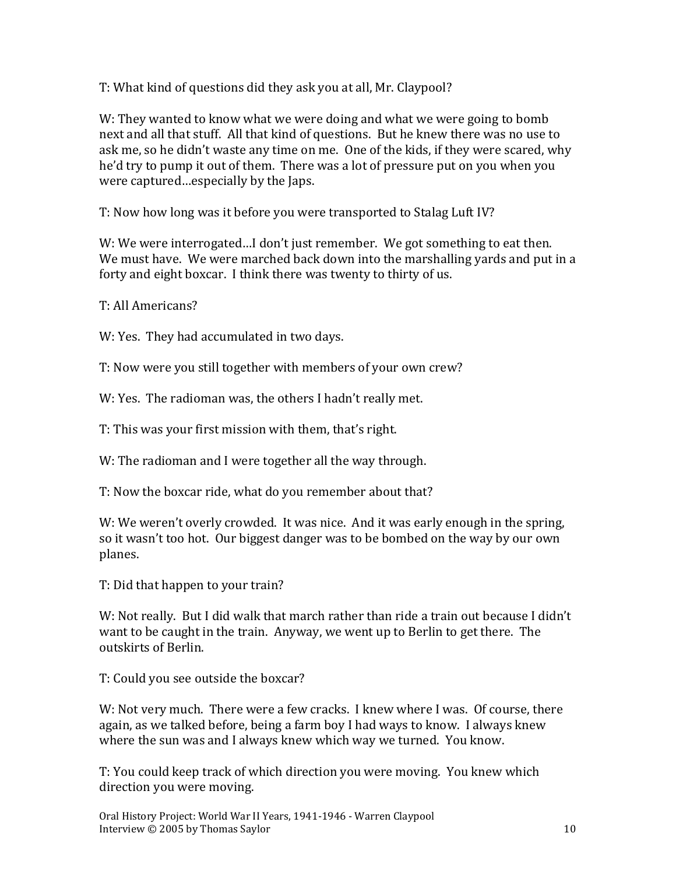T: What kind of questions did they ask you at all, Mr. Claypool?

W: They wanted to know what we were doing and what we were going to bomb next and all that stuff. All that kind of questions. But he knew there was no use to ask me, so he didn't waste any time on me. One of the kids, if they were scared, why he'd try to pump it out of them. There was a lot of pressure put on you when you were captured…especially by the Japs.

T: Now how long was it before you were transported to Stalag Luft IV?

W: We were interrogated...I don't just remember. We got something to eat then. We must have. We were marched back down into the marshalling yards and put in a forty and eight boxcar. I think there was twenty to thirty of us.

T: All Americans?

W: Yes. They had accumulated in two days.

T: Now were you still together with members of your own crew?

W: Yes. The radioman was, the others I hadn't really met.

T: This was your first mission with them, that's right.

W: The radioman and I were together all the way through.

T: Now the boxcar ride, what do you remember about that?

W: We weren't overly crowded. It was nice. And it was early enough in the spring, so it wasn't too hot. Our biggest danger was to be bombed on the way by our own planes.

T: Did that happen to your train?

W: Not really. But I did walk that march rather than ride a train out because I didn't want to be caught in the train. Anyway, we went up to Berlin to get there. The outskirts of Berlin.

T: Could you see outside the boxcar?

W: Not very much. There were a few cracks. I knew where I was. Of course, there again, as we talked before, being a farm boy I had ways to know. I always knew where the sun was and I always knew which way we turned. You know.

T: You could keep track of which direction you were moving. You knew which direction you were moving.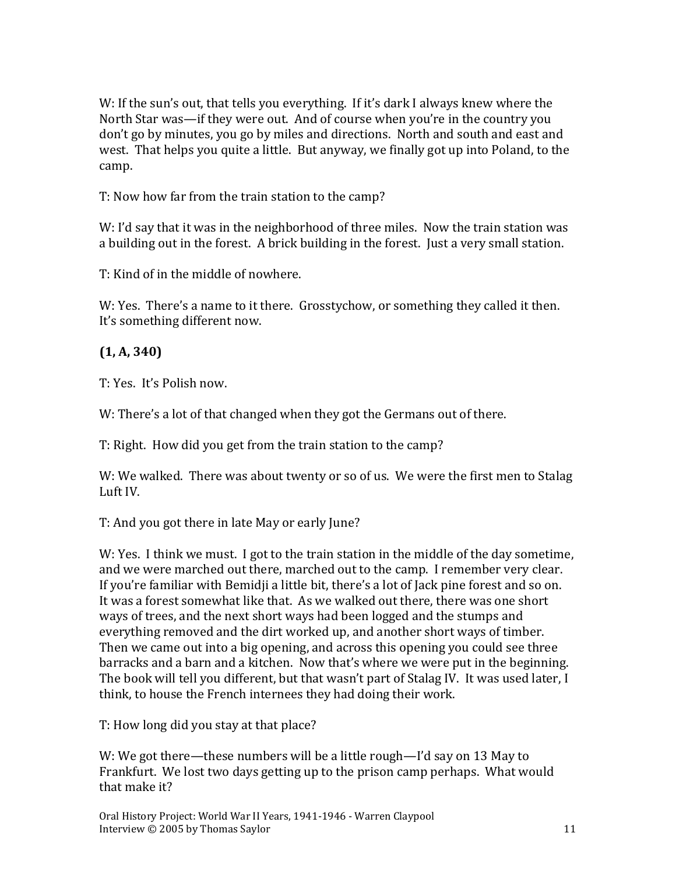W: If the sun's out, that tells you everything. If it's dark I always knew where the North Star was—if they were out. And of course when you're in the country you don't go by minutes, you go by miles and directions. North and south and east and west. That helps you quite a little. But anyway, we finally got up into Poland, to the camp.

T: Now how far from the train station to the camp?

W: I'd say that it was in the neighborhood of three miles. Now the train station was a building out in the forest. A brick building in the forest. Just a very small station.

T: Kind of in the middle of nowhere.

W: Yes. There's a name to it there. Grosstychow, or something they called it then. It's something different now.

#### **(1, A, 340)**

T: Yes. It's Polish now.

W: There's a lot of that changed when they got the Germans out of there.

T: Right. How did you get from the train station to the camp?

W: We walked. There was about twenty or so of us. We were the first men to Stalag Luft IV.

T: And you got there in late May or early June?

W: Yes. I think we must. I got to the train station in the middle of the day sometime, and we were marched out there, marched out to the camp. I remember very clear. If you're familiar with Bemidji a little bit, there's a lot of Jack pine forest and so on. It was a forest somewhat like that. As we walked out there, there was one short ways of trees, and the next short ways had been logged and the stumps and everything removed and the dirt worked up, and another short ways of timber. Then we came out into a big opening, and across this opening you could see three barracks and a barn and a kitchen. Now that's where we were put in the beginning. The book will tell you different, but that wasn't part of Stalag IV. It was used later, I think, to house the French internees they had doing their work.

T: How long did you stay at that place?

W: We got there—these numbers will be a little rough—I'd say on 13 May to Frankfurt. We lost two days getting up to the prison camp perhaps. What would that make it?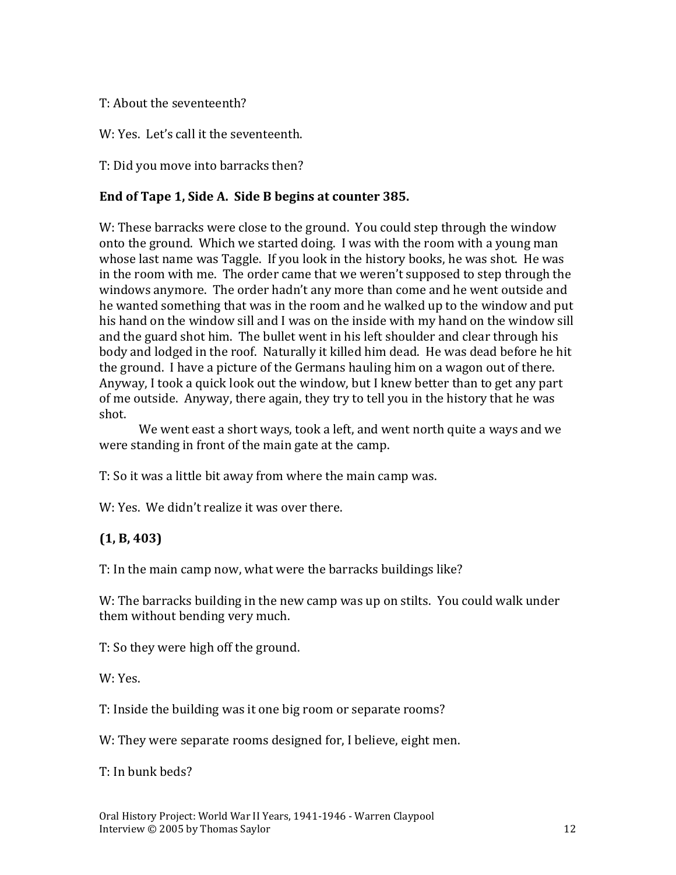#### T: About the seventeenth?

W: Yes. Let's call it the seventeenth.

T: Did you move into barracks then?

#### **End of Tape 1, Side A. Side B begins at counter 385.**

W: These barracks were close to the ground. You could step through the window onto the ground. Which we started doing. I was with the room with a young man whose last name was Taggle. If you look in the history books, he was shot. He was in the room with me. The order came that we weren't supposed to step through the windows anymore. The order hadn't any more than come and he went outside and he wanted something that was in the room and he walked up to the window and put his hand on the window sill and I was on the inside with my hand on the window sill and the guard shot him. The bullet went in his left shoulder and clear through his body and lodged in the roof. Naturally it killed him dead. He was dead before he hit the ground. I have a picture of the Germans hauling him on a wagon out of there. Anyway, I took a quick look out the window, but I knew better than to get any part of me outside. Anyway, there again, they try to tell you in the history that he was shot.

We went east a short ways, took a left, and went north quite a ways and we were standing in front of the main gate at the camp.

T: So it was a little bit away from where the main camp was.

W: Yes. We didn't realize it was over there.

#### **(1, B, 403)**

T: In the main camp now, what were the barracks buildings like?

W: The barracks building in the new camp was up on stilts. You could walk under them without bending very much.

T: So they were high off the ground.

W: Yes.

T: Inside the building was it one big room or separate rooms?

W: They were separate rooms designed for, I believe, eight men.

T: In bunk beds?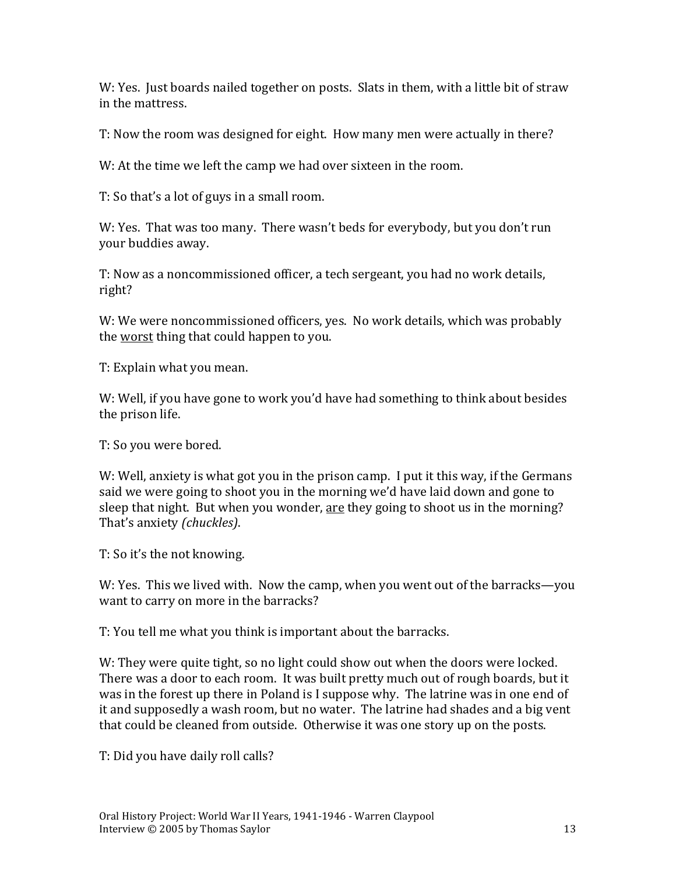W: Yes. Just boards nailed together on posts. Slats in them, with a little bit of straw in the mattress.

T: Now the room was designed for eight. How many men were actually in there?

W: At the time we left the camp we had over sixteen in the room.

T: So that's a lot of guys in a small room.

W: Yes. That was too many. There wasn't beds for everybody, but you don't run your buddies away.

T: Now as a noncommissioned officer, a tech sergeant, you had no work details, right?

W: We were noncommissioned officers, yes. No work details, which was probably the worst thing that could happen to you.

T: Explain what you mean.

W: Well, if you have gone to work you'd have had something to think about besides the prison life.

T: So you were bored.

W: Well, anxiety is what got you in the prison camp. I put it this way, if the Germans said we were going to shoot you in the morning we'd have laid down and gone to sleep that night. But when you wonder, are they going to shoot us in the morning? That's anxiety *(chuckles)*.

T: So it's the not knowing.

W: Yes. This we lived with. Now the camp, when you went out of the barracks—you want to carry on more in the barracks?

T: You tell me what you think is important about the barracks.

W: They were quite tight, so no light could show out when the doors were locked. There was a door to each room. It was built pretty much out of rough boards, but it was in the forest up there in Poland is I suppose why. The latrine was in one end of it and supposedly a wash room, but no water. The latrine had shades and a big vent that could be cleaned from outside. Otherwise it was one story up on the posts.

T: Did you have daily roll calls?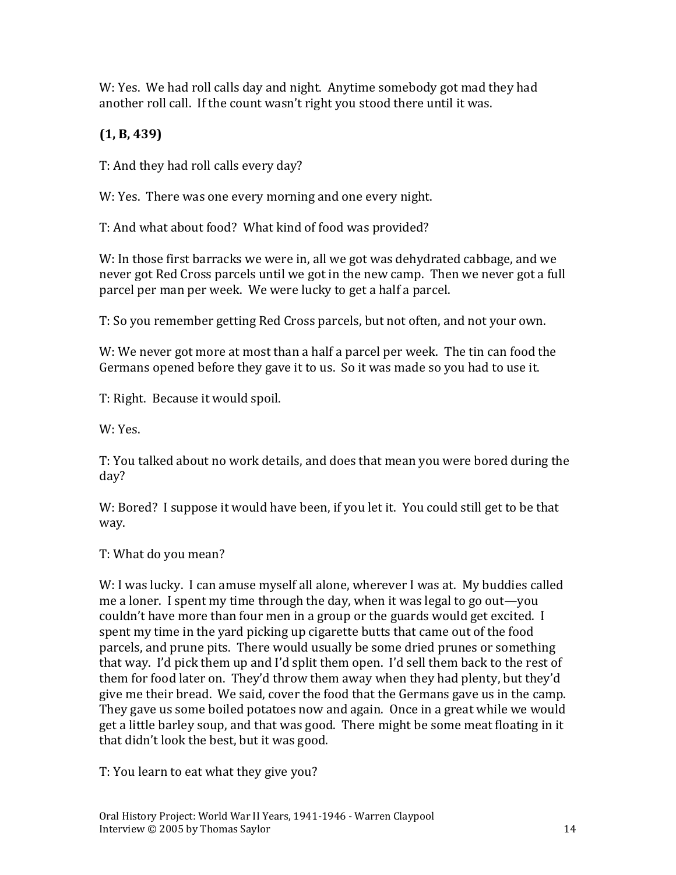W: Yes. We had roll calls day and night. Anytime somebody got mad they had another roll call. If the count wasn't right you stood there until it was.

## **(1, B, 439)**

T: And they had roll calls every day?

W: Yes. There was one every morning and one every night.

T: And what about food? What kind of food was provided?

W: In those first barracks we were in, all we got was dehydrated cabbage, and we never got Red Cross parcels until we got in the new camp. Then we never got a full parcel per man per week. We were lucky to get a half a parcel.

T: So you remember getting Red Cross parcels, but not often, and not your own.

W: We never got more at most than a half a parcel per week. The tin can food the Germans opened before they gave it to us. So it was made so you had to use it.

T: Right. Because it would spoil.

W: Yes.

T: You talked about no work details, and does that mean you were bored during the day?

W: Bored? I suppose it would have been, if you let it. You could still get to be that way.

T: What do you mean?

W: I was lucky. I can amuse myself all alone, wherever I was at. My buddies called me a loner. I spent my time through the day, when it was legal to go out—you couldn't have more than four men in a group or the guards would get excited. I spent my time in the yard picking up cigarette butts that came out of the food parcels, and prune pits. There would usually be some dried prunes or something that way. I'd pick them up and I'd split them open. I'd sell them back to the rest of them for food later on. They'd throw them away when they had plenty, but they'd give me their bread. We said, cover the food that the Germans gave us in the camp. They gave us some boiled potatoes now and again. Once in a great while we would get a little barley soup, and that was good. There might be some meat floating in it that didn't look the best, but it was good.

T: You learn to eat what they give you?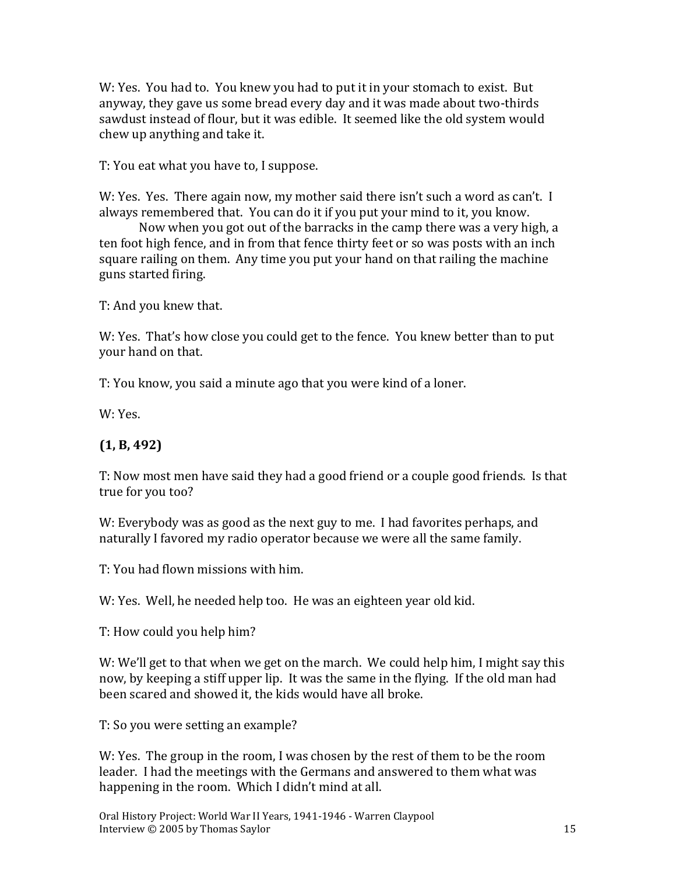W: Yes. You had to. You knew you had to put it in your stomach to exist. But anyway, they gave us some bread every day and it was made about two-thirds sawdust instead of flour, but it was edible. It seemed like the old system would chew up anything and take it.

T: You eat what you have to, I suppose.

W: Yes. Yes. There again now, my mother said there isn't such a word as can't. I always remembered that. You can do it if you put your mind to it, you know.

Now when you got out of the barracks in the camp there was a very high, a ten foot high fence, and in from that fence thirty feet or so was posts with an inch square railing on them. Any time you put your hand on that railing the machine guns started firing.

T: And you knew that.

W: Yes. That's how close you could get to the fence. You knew better than to put your hand on that.

T: You know, you said a minute ago that you were kind of a loner.

W: Yes.

#### **(1, B, 492)**

T: Now most men have said they had a good friend or a couple good friends. Is that true for you too?

W: Everybody was as good as the next guy to me. I had favorites perhaps, and naturally I favored my radio operator because we were all the same family.

T: You had flown missions with him.

W: Yes. Well, he needed help too. He was an eighteen year old kid.

T: How could you help him?

W: We'll get to that when we get on the march. We could help him, I might say this now, by keeping a stiff upper lip. It was the same in the flying. If the old man had been scared and showed it, the kids would have all broke.

T: So you were setting an example?

W: Yes. The group in the room, I was chosen by the rest of them to be the room leader. I had the meetings with the Germans and answered to them what was happening in the room. Which I didn't mind at all.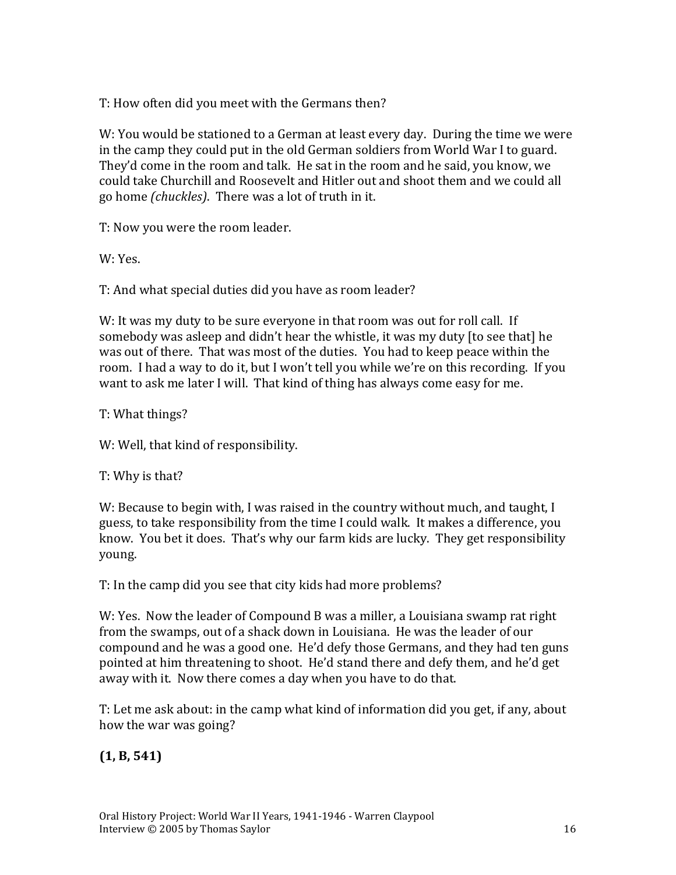T: How often did you meet with the Germans then?

W: You would be stationed to a German at least every day. During the time we were in the camp they could put in the old German soldiers from World War I to guard. They'd come in the room and talk. He sat in the room and he said, you know, we could take Churchill and Roosevelt and Hitler out and shoot them and we could all go home *(chuckles)*. There was a lot of truth in it.

T: Now you were the room leader.

W: Yes.

T: And what special duties did you have as room leader?

W: It was my duty to be sure everyone in that room was out for roll call. If somebody was asleep and didn't hear the whistle, it was my duty [to see that] he was out of there. That was most of the duties. You had to keep peace within the room. I had a way to do it, but I won't tell you while we're on this recording. If you want to ask me later I will. That kind of thing has always come easy for me.

T: What things?

W: Well, that kind of responsibility.

T: Why is that?

W: Because to begin with, I was raised in the country without much, and taught, I guess, to take responsibility from the time I could walk. It makes a difference, you know. You bet it does. That's why our farm kids are lucky. They get responsibility young.

T: In the camp did you see that city kids had more problems?

W: Yes. Now the leader of Compound B was a miller, a Louisiana swamp rat right from the swamps, out of a shack down in Louisiana. He was the leader of our compound and he was a good one. He'd defy those Germans, and they had ten guns pointed at him threatening to shoot. He'd stand there and defy them, and he'd get away with it. Now there comes a day when you have to do that.

T: Let me ask about: in the camp what kind of information did you get, if any, about how the war was going?

### **(1, B, 541)**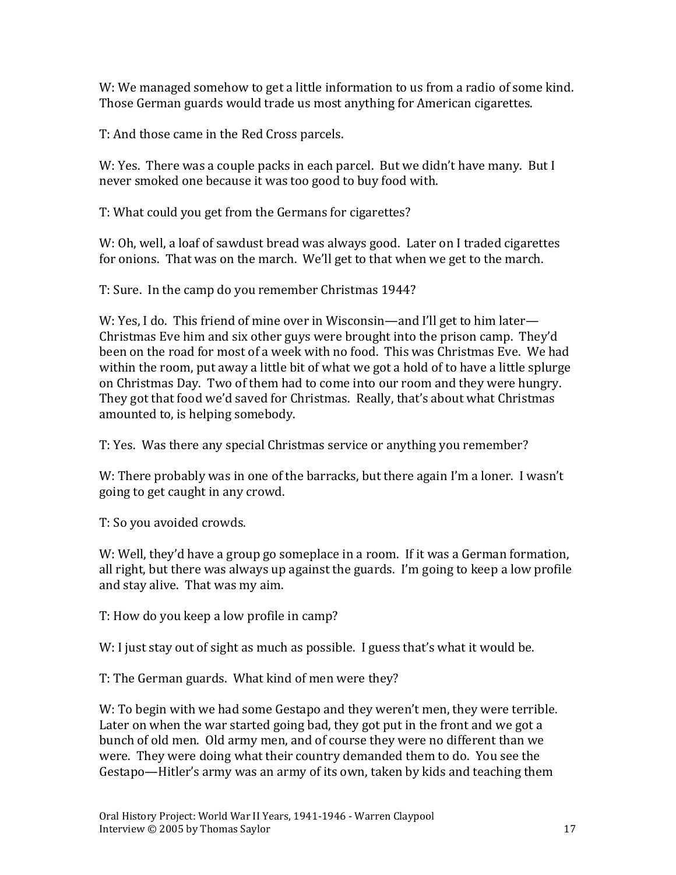W: We managed somehow to get a little information to us from a radio of some kind. Those German guards would trade us most anything for American cigarettes.

T: And those came in the Red Cross parcels.

W: Yes. There was a couple packs in each parcel. But we didn't have many. But I never smoked one because it was too good to buy food with.

T: What could you get from the Germans for cigarettes?

W: Oh, well, a loaf of sawdust bread was always good. Later on I traded cigarettes for onions. That was on the march. We'll get to that when we get to the march.

T: Sure. In the camp do you remember Christmas 1944?

W: Yes, I do. This friend of mine over in Wisconsin—and I'll get to him later— Christmas Eve him and six other guys were brought into the prison camp. They'd been on the road for most of a week with no food. This was Christmas Eve. We had within the room, put away a little bit of what we got a hold of to have a little splurge on Christmas Day. Two of them had to come into our room and they were hungry. They got that food we'd saved for Christmas. Really, that's about what Christmas amounted to, is helping somebody.

T: Yes. Was there any special Christmas service or anything you remember?

W: There probably was in one of the barracks, but there again I'm a loner. I wasn't going to get caught in any crowd.

T: So you avoided crowds.

W: Well, they'd have a group go someplace in a room. If it was a German formation, all right, but there was always up against the guards. I'm going to keep a low profile and stay alive. That was my aim.

T: How do you keep a low profile in camp?

W: I just stay out of sight as much as possible. I guess that's what it would be.

T: The German guards. What kind of men were they?

W: To begin with we had some Gestapo and they weren't men, they were terrible. Later on when the war started going bad, they got put in the front and we got a bunch of old men. Old army men, and of course they were no different than we were. They were doing what their country demanded them to do. You see the Gestapo—Hitler's army was an army of its own, taken by kids and teaching them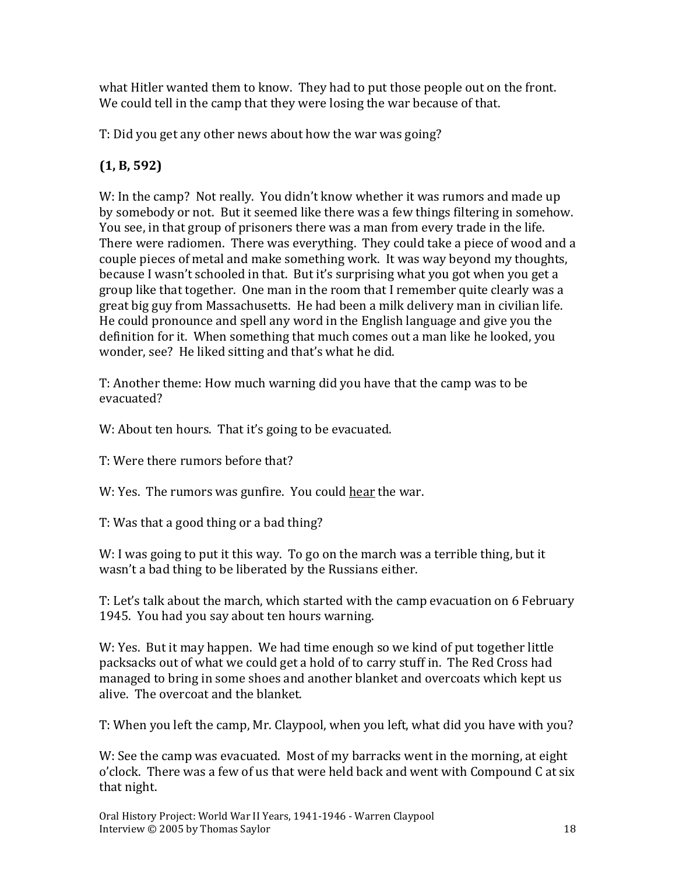what Hitler wanted them to know. They had to put those people out on the front. We could tell in the camp that they were losing the war because of that.

T: Did you get any other news about how the war was going?

# **(1, B, 592)**

W: In the camp? Not really. You didn't know whether it was rumors and made up by somebody or not. But it seemed like there was a few things filtering in somehow. You see, in that group of prisoners there was a man from every trade in the life. There were radiomen. There was everything. They could take a piece of wood and a couple pieces of metal and make something work. It was way beyond my thoughts, because I wasn't schooled in that. But it's surprising what you got when you get a group like that together. One man in the room that I remember quite clearly was a great big guy from Massachusetts. He had been a milk delivery man in civilian life. He could pronounce and spell any word in the English language and give you the definition for it. When something that much comes out a man like he looked, you wonder, see? He liked sitting and that's what he did.

T: Another theme: How much warning did you have that the camp was to be evacuated?

W: About ten hours. That it's going to be evacuated.

T: Were there rumors before that?

W: Yes. The rumors was gunfire. You could hear the war.

T: Was that a good thing or a bad thing?

W: I was going to put it this way. To go on the march was a terrible thing, but it wasn't a bad thing to be liberated by the Russians either.

T: Let's talk about the march, which started with the camp evacuation on 6 February 1945. You had you say about ten hours warning.

W: Yes. But it may happen. We had time enough so we kind of put together little packsacks out of what we could get a hold of to carry stuff in. The Red Cross had managed to bring in some shoes and another blanket and overcoats which kept us alive. The overcoat and the blanket.

T: When you left the camp, Mr. Claypool, when you left, what did you have with you?

W: See the camp was evacuated. Most of my barracks went in the morning, at eight o'clock. There was a few of us that were held back and went with Compound C at six that night.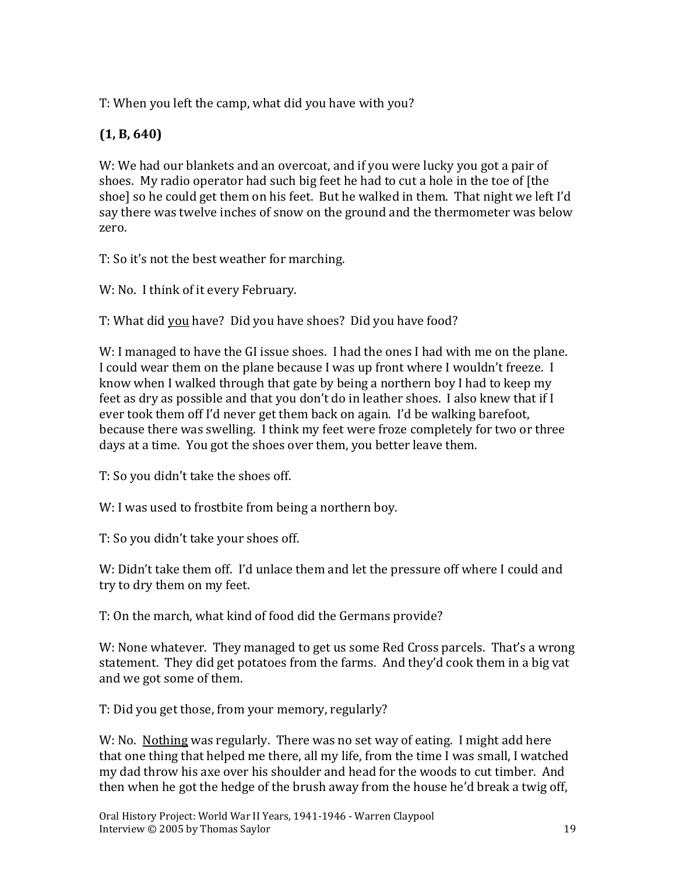T: When you left the camp, what did you have with you?

## **(1, B, 640)**

W: We had our blankets and an overcoat, and if you were lucky you got a pair of shoes. My radio operator had such big feet he had to cut a hole in the toe of [the shoe] so he could get them on his feet. But he walked in them. That night we left I'd say there was twelve inches of snow on the ground and the thermometer was below zero.

T: So it's not the best weather for marching.

W: No. I think of it every February.

T: What did you have? Did you have shoes? Did you have food?

W: I managed to have the GI issue shoes. I had the ones I had with me on the plane. I could wear them on the plane because I was up front where I wouldn't freeze. I know when I walked through that gate by being a northern boy I had to keep my feet as dry as possible and that you don't do in leather shoes. I also knew that if I ever took them off I'd never get them back on again. I'd be walking barefoot, because there was swelling. I think my feet were froze completely for two or three days at a time. You got the shoes over them, you better leave them.

T: So you didn't take the shoes off.

W: I was used to frostbite from being a northern boy.

T: So you didn't take your shoes off.

W: Didn't take them off. I'd unlace them and let the pressure off where I could and try to dry them on my feet.

T: On the march, what kind of food did the Germans provide?

W: None whatever. They managed to get us some Red Cross parcels. That's a wrong statement. They did get potatoes from the farms. And they'd cook them in a big vat and we got some of them.

T: Did you get those, from your memory, regularly?

W: No. Nothing was regularly. There was no set way of eating. I might add here that one thing that helped me there, all my life, from the time I was small, I watched my dad throw his axe over his shoulder and head for the woods to cut timber. And then when he got the hedge of the brush away from the house he'd break a twig off,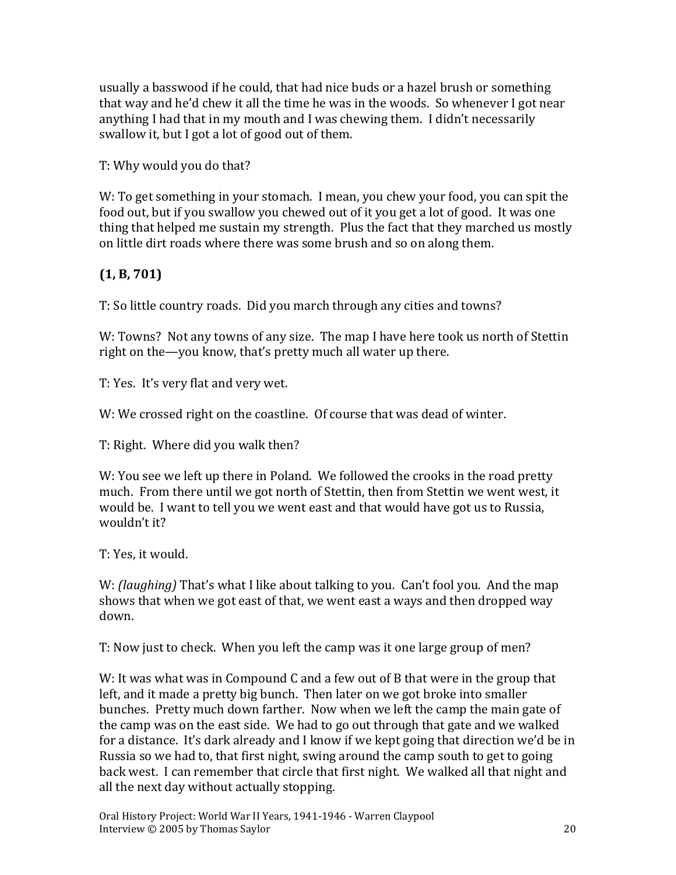usually a basswood if he could, that had nice buds or a hazel brush or something that way and he'd chew it all the time he was in the woods. So whenever I got near anything I had that in my mouth and I was chewing them. I didn't necessarily swallow it, but I got a lot of good out of them.

T: Why would you do that?

W: To get something in your stomach. I mean, you chew your food, you can spit the food out, but if you swallow you chewed out of it you get a lot of good. It was one thing that helped me sustain my strength. Plus the fact that they marched us mostly on little dirt roads where there was some brush and so on along them.

### **(1, B, 701)**

T: So little country roads. Did you march through any cities and towns?

W: Towns? Not any towns of any size. The map I have here took us north of Stettin right on the—you know, that's pretty much all water up there.

T: Yes. It's very flat and very wet.

W: We crossed right on the coastline. Of course that was dead of winter.

T: Right. Where did you walk then?

W: You see we left up there in Poland. We followed the crooks in the road pretty much. From there until we got north of Stettin, then from Stettin we went west, it would be. I want to tell you we went east and that would have got us to Russia, wouldn't it?

T: Yes, it would.

W: *(laughing)* That's what I like about talking to you. Can't fool you. And the map shows that when we got east of that, we went east a ways and then dropped way down.

T: Now just to check. When you left the camp was it one large group of men?

W: It was what was in Compound C and a few out of B that were in the group that left, and it made a pretty big bunch. Then later on we got broke into smaller bunches. Pretty much down farther. Now when we left the camp the main gate of the camp was on the east side. We had to go out through that gate and we walked for a distance. It's dark already and I know if we kept going that direction we'd be in Russia so we had to, that first night, swing around the camp south to get to going back west. I can remember that circle that first night. We walked all that night and all the next day without actually stopping.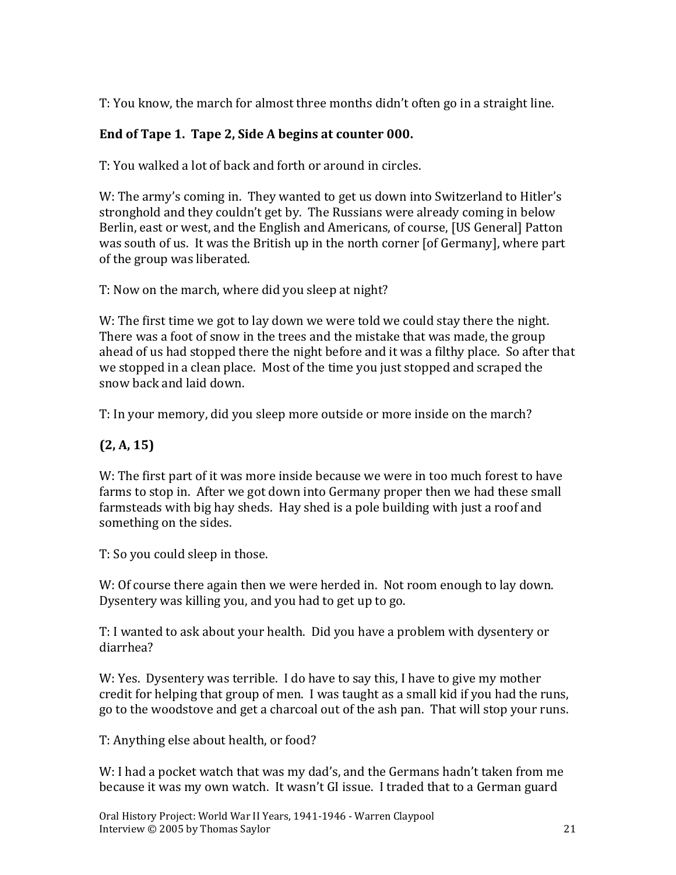T: You know, the march for almost three months didn't often go in a straight line.

#### **End of Tape 1. Tape 2, Side A begins at counter 000.**

T: You walked a lot of back and forth or around in circles.

W: The army's coming in. They wanted to get us down into Switzerland to Hitler's stronghold and they couldn't get by. The Russians were already coming in below Berlin, east or west, and the English and Americans, of course, [US General] Patton was south of us. It was the British up in the north corner [of Germany], where part of the group was liberated.

T: Now on the march, where did you sleep at night?

W: The first time we got to lay down we were told we could stay there the night. There was a foot of snow in the trees and the mistake that was made, the group ahead of us had stopped there the night before and it was a filthy place. So after that we stopped in a clean place. Most of the time you just stopped and scraped the snow back and laid down.

T: In your memory, did you sleep more outside or more inside on the march?

#### **(2, A, 15)**

W: The first part of it was more inside because we were in too much forest to have farms to stop in. After we got down into Germany proper then we had these small farmsteads with big hay sheds. Hay shed is a pole building with just a roof and something on the sides.

T: So you could sleep in those.

W: Of course there again then we were herded in. Not room enough to lay down. Dysentery was killing you, and you had to get up to go.

T: I wanted to ask about your health. Did you have a problem with dysentery or diarrhea?

W: Yes. Dysentery was terrible. I do have to say this, I have to give my mother credit for helping that group of men. I was taught as a small kid if you had the runs, go to the woodstove and get a charcoal out of the ash pan. That will stop your runs.

T: Anything else about health, or food?

W: I had a pocket watch that was my dad's, and the Germans hadn't taken from me because it was my own watch. It wasn't GI issue. I traded that to a German guard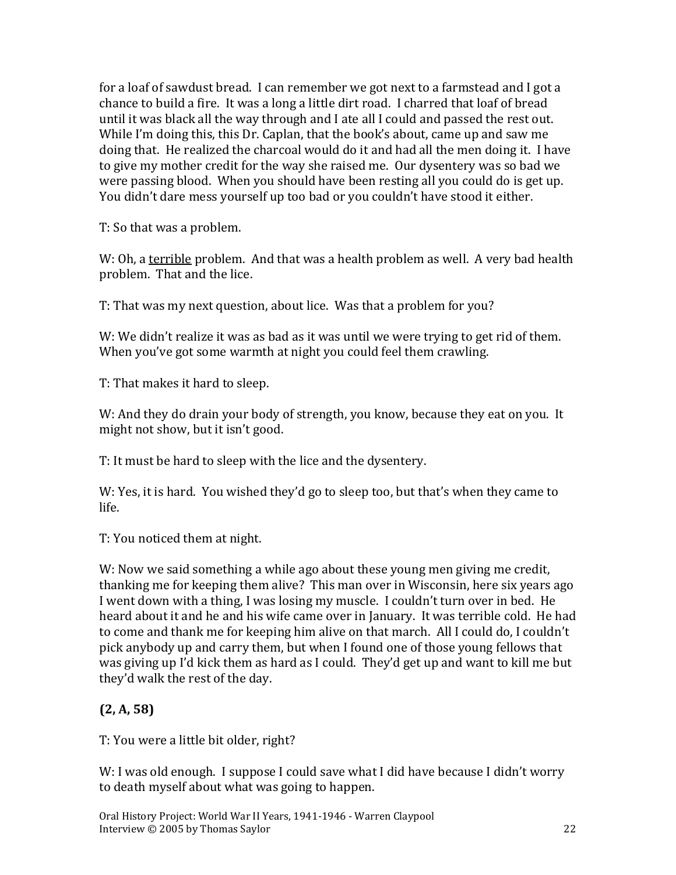for a loaf of sawdust bread. I can remember we got next to a farmstead and I got a chance to build a fire. It was a long a little dirt road. I charred that loaf of bread until it was black all the way through and I ate all I could and passed the rest out. While I'm doing this, this Dr. Caplan, that the book's about, came up and saw me doing that. He realized the charcoal would do it and had all the men doing it. I have to give my mother credit for the way she raised me. Our dysentery was so bad we were passing blood. When you should have been resting all you could do is get up. You didn't dare mess yourself up too bad or you couldn't have stood it either.

T: So that was a problem.

W: Oh, a terrible problem. And that was a health problem as well. A very bad health problem. That and the lice.

T: That was my next question, about lice. Was that a problem for you?

W: We didn't realize it was as bad as it was until we were trying to get rid of them. When you've got some warmth at night you could feel them crawling.

T: That makes it hard to sleep.

W: And they do drain your body of strength, you know, because they eat on you. It might not show, but it isn't good.

T: It must be hard to sleep with the lice and the dysentery.

W: Yes, it is hard. You wished they'd go to sleep too, but that's when they came to life.

T: You noticed them at night.

W: Now we said something a while ago about these young men giving me credit, thanking me for keeping them alive? This man over in Wisconsin, here six years ago I went down with a thing, I was losing my muscle. I couldn't turn over in bed. He heard about it and he and his wife came over in January. It was terrible cold. He had to come and thank me for keeping him alive on that march. All I could do, I couldn't pick anybody up and carry them, but when I found one of those young fellows that was giving up I'd kick them as hard as I could. They'd get up and want to kill me but they'd walk the rest of the day.

### **(2, A, 58)**

T: You were a little bit older, right?

W: I was old enough. I suppose I could save what I did have because I didn't worry to death myself about what was going to happen.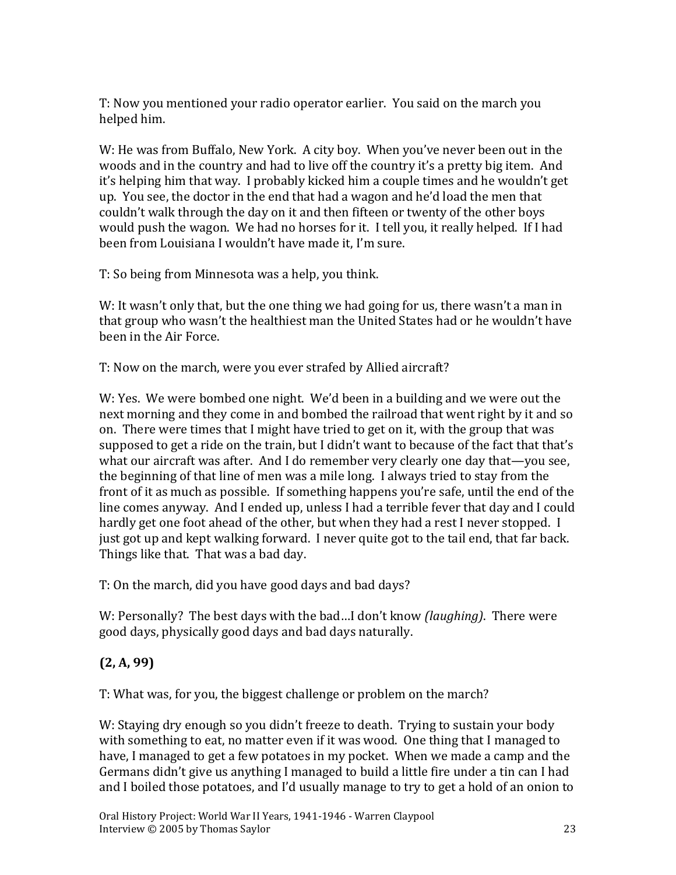T: Now you mentioned your radio operator earlier. You said on the march you helped him.

W: He was from Buffalo, New York. A city boy. When you've never been out in the woods and in the country and had to live off the country it's a pretty big item. And it's helping him that way. I probably kicked him a couple times and he wouldn't get up. You see, the doctor in the end that had a wagon and he'd load the men that couldn't walk through the day on it and then fifteen or twenty of the other boys would push the wagon. We had no horses for it. I tell you, it really helped. If I had been from Louisiana I wouldn't have made it, I'm sure.

T: So being from Minnesota was a help, you think.

W: It wasn't only that, but the one thing we had going for us, there wasn't a man in that group who wasn't the healthiest man the United States had or he wouldn't have been in the Air Force.

T: Now on the march, were you ever strafed by Allied aircraft?

W: Yes. We were bombed one night. We'd been in a building and we were out the next morning and they come in and bombed the railroad that went right by it and so on. There were times that I might have tried to get on it, with the group that was supposed to get a ride on the train, but I didn't want to because of the fact that that's what our aircraft was after. And I do remember very clearly one day that—you see, the beginning of that line of men was a mile long. I always tried to stay from the front of it as much as possible. If something happens you're safe, until the end of the line comes anyway. And I ended up, unless I had a terrible fever that day and I could hardly get one foot ahead of the other, but when they had a rest I never stopped. I just got up and kept walking forward. I never quite got to the tail end, that far back. Things like that. That was a bad day.

T: On the march, did you have good days and bad days?

W: Personally? The best days with the bad…I don't know *(laughing)*. There were good days, physically good days and bad days naturally.

### **(2, A, 99)**

T: What was, for you, the biggest challenge or problem on the march?

W: Staying dry enough so you didn't freeze to death. Trying to sustain your body with something to eat, no matter even if it was wood. One thing that I managed to have, I managed to get a few potatoes in my pocket. When we made a camp and the Germans didn't give us anything I managed to build a little fire under a tin can I had and I boiled those potatoes, and I'd usually manage to try to get a hold of an onion to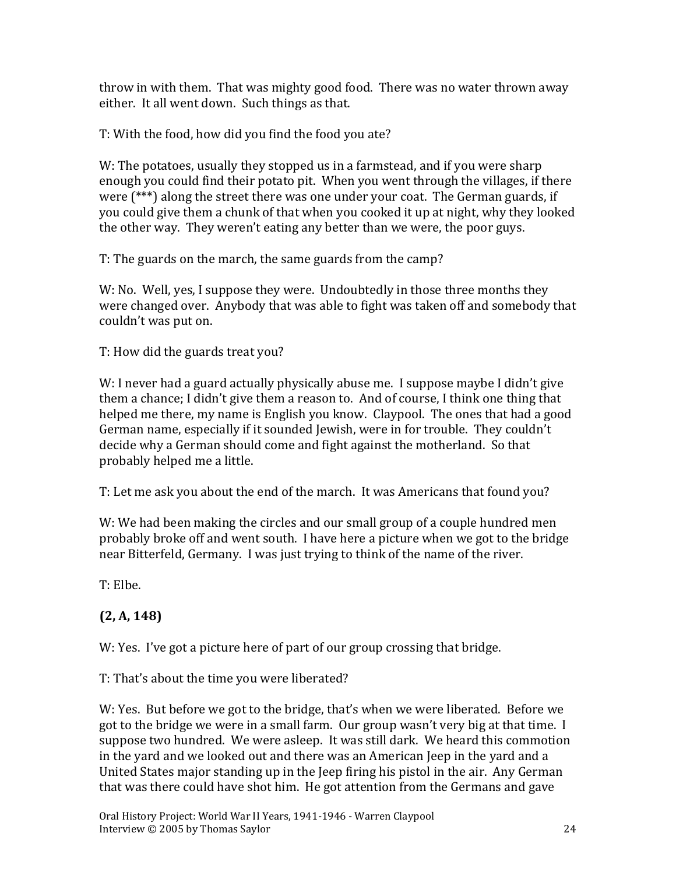throw in with them. That was mighty good food. There was no water thrown away either. It all went down. Such things as that.

T: With the food, how did you find the food you ate?

W: The potatoes, usually they stopped us in a farmstead, and if you were sharp enough you could find their potato pit. When you went through the villages, if there were (\*\*\*) along the street there was one under your coat. The German guards, if you could give them a chunk of that when you cooked it up at night, why they looked the other way. They weren't eating any better than we were, the poor guys.

T: The guards on the march, the same guards from the camp?

W: No. Well, yes, I suppose they were. Undoubtedly in those three months they were changed over. Anybody that was able to fight was taken off and somebody that couldn't was put on.

T: How did the guards treat you?

W: I never had a guard actually physically abuse me. I suppose maybe I didn't give them a chance; I didn't give them a reason to. And of course, I think one thing that helped me there, my name is English you know. Claypool. The ones that had a good German name, especially if it sounded Jewish, were in for trouble. They couldn't decide why a German should come and fight against the motherland. So that probably helped me a little.

T: Let me ask you about the end of the march. It was Americans that found you?

W: We had been making the circles and our small group of a couple hundred men probably broke off and went south. I have here a picture when we got to the bridge near Bitterfeld, Germany. I was just trying to think of the name of the river.

T: Elbe.

# **(2, A, 148)**

W: Yes. I've got a picture here of part of our group crossing that bridge.

T: That's about the time you were liberated?

W: Yes. But before we got to the bridge, that's when we were liberated. Before we got to the bridge we were in a small farm. Our group wasn't very big at that time. I suppose two hundred. We were asleep. It was still dark. We heard this commotion in the yard and we looked out and there was an American Jeep in the yard and a United States major standing up in the Jeep firing his pistol in the air. Any German that was there could have shot him. He got attention from the Germans and gave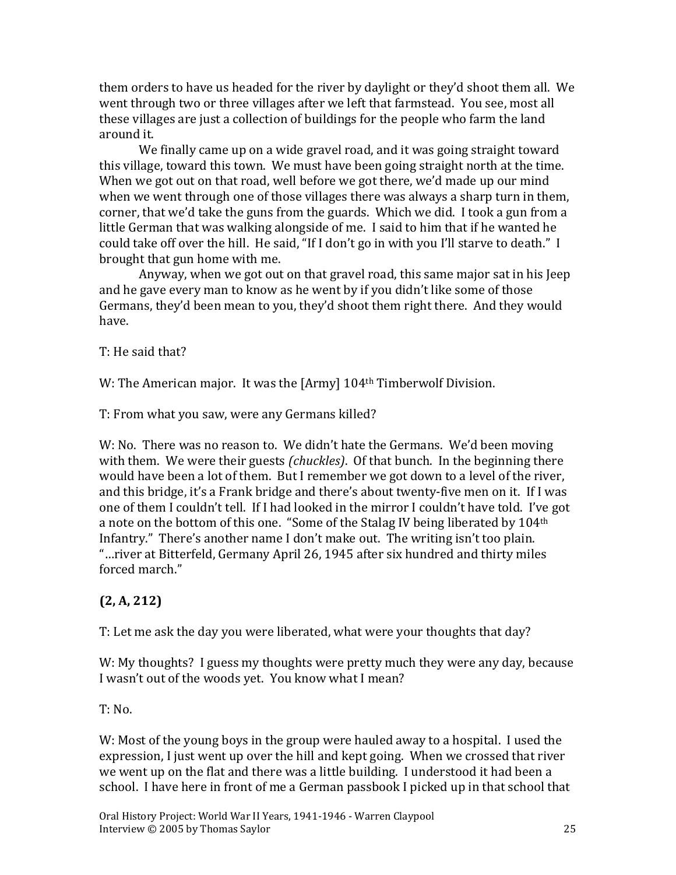them orders to have us headed for the river by daylight or they'd shoot them all. We went through two or three villages after we left that farmstead. You see, most all these villages are just a collection of buildings for the people who farm the land around it.

We finally came up on a wide gravel road, and it was going straight toward this village, toward this town. We must have been going straight north at the time. When we got out on that road, well before we got there, we'd made up our mind when we went through one of those villages there was always a sharp turn in them, corner, that we'd take the guns from the guards. Which we did. I took a gun from a little German that was walking alongside of me. I said to him that if he wanted he could take off over the hill. He said, "If I don't go in with you I'll starve to death." I brought that gun home with me.

Anyway, when we got out on that gravel road, this same major sat in his Jeep and he gave every man to know as he went by if you didn't like some of those Germans, they'd been mean to you, they'd shoot them right there. And they would have.

T: He said that?

W: The American major. It was the [Army] 104<sup>th</sup> Timberwolf Division.

T: From what you saw, were any Germans killed?

W: No. There was no reason to. We didn't hate the Germans. We'd been moving with them. We were their guests *(chuckles)*. Of that bunch. In the beginning there would have been a lot of them. But I remember we got down to a level of the river, and this bridge, it's a Frank bridge and there's about twenty-five men on it. If I was one of them I couldn't tell. If I had looked in the mirror I couldn't have told. I've got a note on the bottom of this one. "Some of the Stalag IV being liberated by 104<sup>th</sup> Infantry." There's another name I don't make out. The writing isn't too plain. "…river at Bitterfeld, Germany April 26, 1945 after six hundred and thirty miles forced march."

### **(2, A, 212)**

T: Let me ask the day you were liberated, what were your thoughts that day?

W: My thoughts? I guess my thoughts were pretty much they were any day, because I wasn't out of the woods yet. You know what I mean?

 $T: No.$ 

W: Most of the young boys in the group were hauled away to a hospital. I used the expression, I just went up over the hill and kept going. When we crossed that river we went up on the flat and there was a little building. I understood it had been a school. I have here in front of me a German passbook I picked up in that school that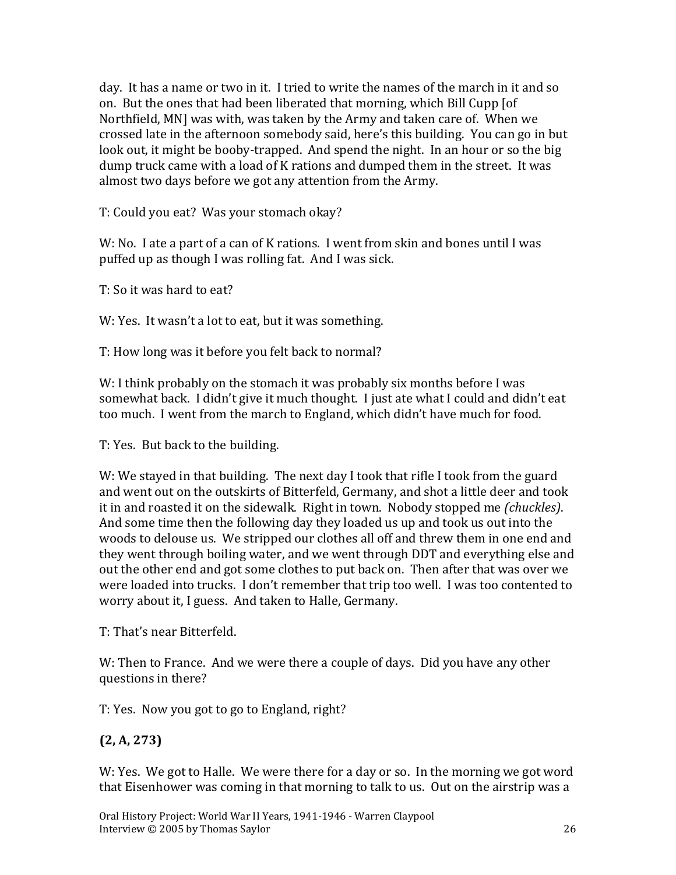day. It has a name or two in it. I tried to write the names of the march in it and so on. But the ones that had been liberated that morning, which Bill Cupp [of Northfield, MN] was with, was taken by the Army and taken care of. When we crossed late in the afternoon somebody said, here's this building. You can go in but look out, it might be booby-trapped. And spend the night. In an hour or so the big dump truck came with a load of K rations and dumped them in the street. It was almost two days before we got any attention from the Army.

T: Could you eat? Was your stomach okay?

W: No. I ate a part of a can of K rations. I went from skin and bones until I was puffed up as though I was rolling fat. And I was sick.

T: So it was hard to eat?

W: Yes. It wasn't a lot to eat, but it was something.

T: How long was it before you felt back to normal?

W: I think probably on the stomach it was probably six months before I was somewhat back. I didn't give it much thought. I just ate what I could and didn't eat too much. I went from the march to England, which didn't have much for food.

T: Yes. But back to the building.

W: We stayed in that building. The next day I took that rifle I took from the guard and went out on the outskirts of Bitterfeld, Germany, and shot a little deer and took it in and roasted it on the sidewalk. Right in town. Nobody stopped me *(chuckles)*. And some time then the following day they loaded us up and took us out into the woods to delouse us. We stripped our clothes all off and threw them in one end and they went through boiling water, and we went through DDT and everything else and out the other end and got some clothes to put back on. Then after that was over we were loaded into trucks. I don't remember that trip too well. I was too contented to worry about it, I guess. And taken to Halle, Germany.

T: That's near Bitterfeld.

W: Then to France. And we were there a couple of days. Did you have any other questions in there?

T: Yes. Now you got to go to England, right?

### **(2, A, 273)**

W: Yes. We got to Halle. We were there for a day or so. In the morning we got word that Eisenhower was coming in that morning to talk to us. Out on the airstrip was a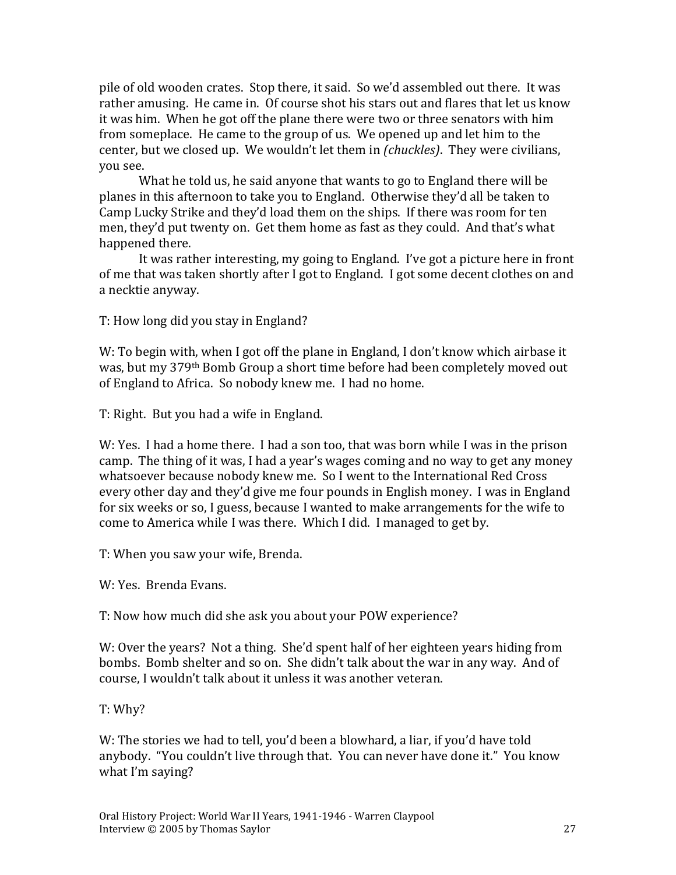pile of old wooden crates. Stop there, it said. So we'd assembled out there. It was rather amusing. He came in. Of course shot his stars out and flares that let us know it was him. When he got off the plane there were two or three senators with him from someplace. He came to the group of us. We opened up and let him to the center, but we closed up. We wouldn't let them in *(chuckles)*.They were civilians, you see.

What he told us, he said anyone that wants to go to England there will be planes in this afternoon to take you to England. Otherwise they'd all be taken to Camp Lucky Strike and they'd load them on the ships. If there was room for ten men, they'd put twenty on. Get them home as fast as they could. And that's what happened there.

It was rather interesting, my going to England. I've got a picture here in front of me that was taken shortly after I got to England. I got some decent clothes on and a necktie anyway.

T: How long did you stay in England?

W: To begin with, when I got off the plane in England, I don't know which airbase it was, but my 379th Bomb Group a short time before had been completely moved out of England to Africa. So nobody knew me. I had no home.

T: Right. But you had a wife in England.

W: Yes. I had a home there. I had a son too, that was born while I was in the prison camp. The thing of it was, I had a year's wages coming and no way to get any money whatsoever because nobody knew me. So I went to the International Red Cross every other day and they'd give me four pounds in English money. I was in England for six weeks or so, I guess, because I wanted to make arrangements for the wife to come to America while I was there. Which I did. I managed to get by.

T: When you saw your wife, Brenda.

W: Yes. Brenda Evans.

T: Now how much did she ask you about your POW experience?

W: Over the years? Not a thing. She'd spent half of her eighteen years hiding from bombs. Bomb shelter and so on. She didn't talk about the war in any way. And of course, I wouldn't talk about it unless it was another veteran.

T: Why?

W: The stories we had to tell, you'd been a blowhard, a liar, if you'd have told anybody. "You couldn't live through that. You can never have done it." You know what I'm saying?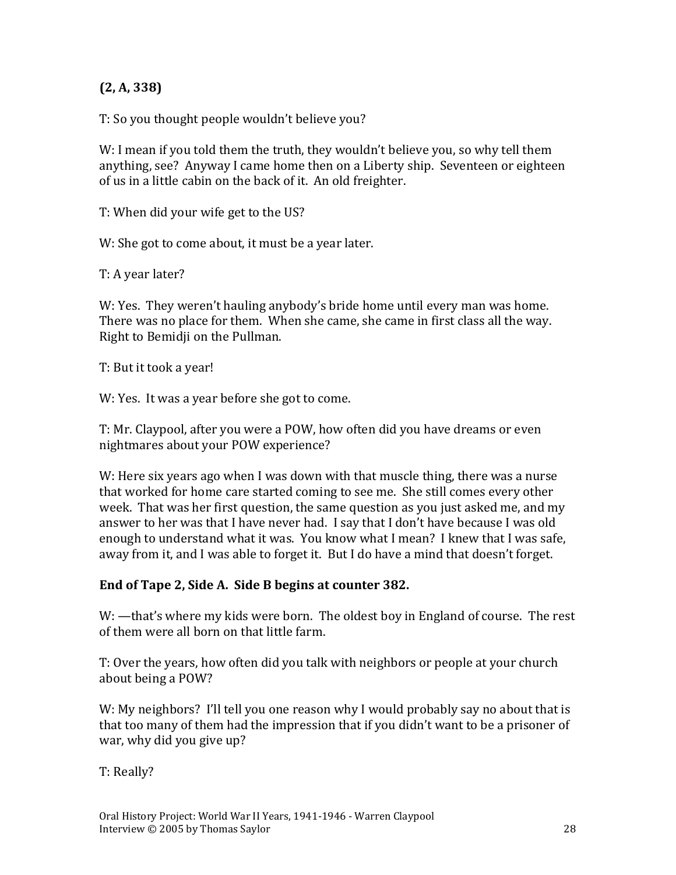#### **(2, A, 338)**

T: So you thought people wouldn't believe you?

W: I mean if you told them the truth, they wouldn't believe you, so why tell them anything, see? Anyway I came home then on a Liberty ship. Seventeen or eighteen of us in a little cabin on the back of it. An old freighter.

T: When did your wife get to the US?

W: She got to come about, it must be a year later.

T: A year later?

W: Yes. They weren't hauling anybody's bride home until every man was home. There was no place for them. When she came, she came in first class all the way. Right to Bemidji on the Pullman.

T: But it took a year!

W: Yes. It was a year before she got to come.

T: Mr. Claypool, after you were a POW, how often did you have dreams or even nightmares about your POW experience?

W: Here six years ago when I was down with that muscle thing, there was a nurse that worked for home care started coming to see me. She still comes every other week. That was her first question, the same question as you just asked me, and my answer to her was that I have never had. I say that I don't have because I was old enough to understand what it was. You know what I mean? I knew that I was safe, away from it, and I was able to forget it. But I do have a mind that doesn't forget.

#### **End of Tape 2, Side A. Side B begins at counter 382.**

W: —that's where my kids were born. The oldest boy in England of course. The rest of them were all born on that little farm.

T: Over the years, how often did you talk with neighbors or people at your church about being a POW?

W: My neighbors? I'll tell you one reason why I would probably say no about that is that too many of them had the impression that if you didn't want to be a prisoner of war, why did you give up?

T: Really?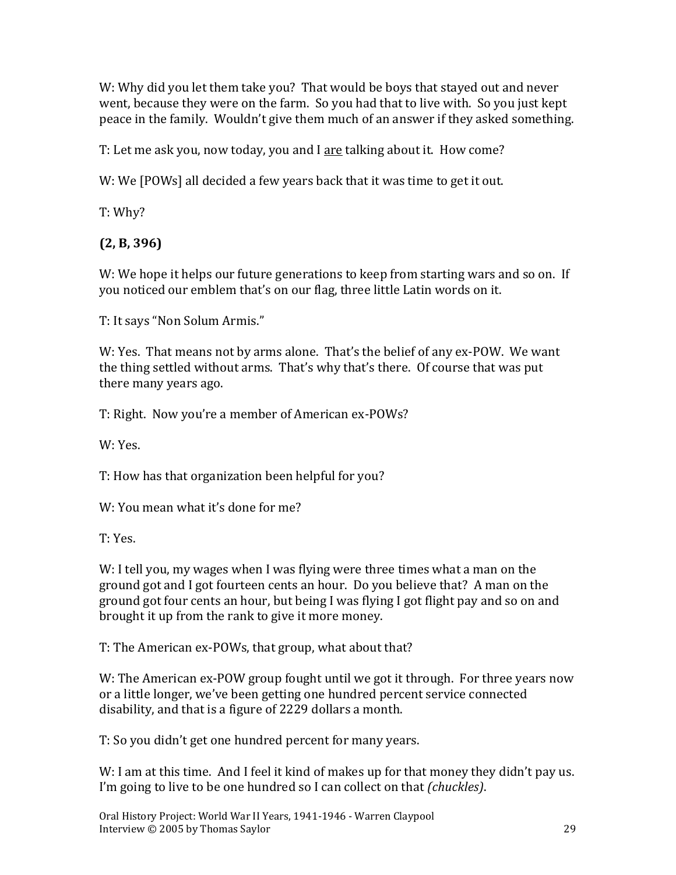W: Why did you let them take you? That would be boys that stayed out and never went, because they were on the farm. So you had that to live with. So you just kept peace in the family. Wouldn't give them much of an answer if they asked something.

T: Let me ask you, now today, you and I are talking about it. How come?

W: We [POWs] all decided a few years back that it was time to get it out.

T: Why?

**(2, B, 396)**

W: We hope it helps our future generations to keep from starting wars and so on. If you noticed our emblem that's on our flag, three little Latin words on it.

T: It says "Non Solum Armis."

W: Yes. That means not by arms alone. That's the belief of any ex-POW. We want the thing settled without arms. That's why that's there. Of course that was put there many years ago.

T: Right. Now you're a member of American ex-POWs?

W: Yes.

T: How has that organization been helpful for you?

W: You mean what it's done for me?

T: Yes.

W: I tell you, my wages when I was flying were three times what a man on the ground got and I got fourteen cents an hour. Do you believe that? A man on the ground got four cents an hour, but being I was flying I got flight pay and so on and brought it up from the rank to give it more money.

T: The American ex-POWs, that group, what about that?

W: The American ex-POW group fought until we got it through. For three years now or a little longer, we've been getting one hundred percent service connected disability, and that is a figure of 2229 dollars a month.

T: So you didn't get one hundred percent for many years.

W: I am at this time. And I feel it kind of makes up for that money they didn't pay us. I'm going to live to be one hundred so I can collect on that *(chuckles)*.